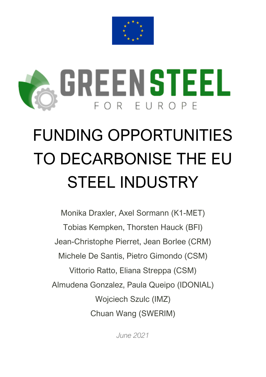



# FUNDING OPPORTUNITIES TO DECARBONISE THE EU STEEL INDUSTRY

Monika Draxler, Axel Sormann (K1-MET) Tobias Kempken, Thorsten Hauck (BFI) Jean-Christophe Pierret, Jean Borlee (CRM) Michele De Santis, Pietro Gimondo (CSM) Vittorio Ratto, Eliana Streppa (CSM) Almudena Gonzalez, Paula Queipo (IDONIAL) Wojciech Szulc (IMZ) Chuan Wang (SWERIM)

*June 2021*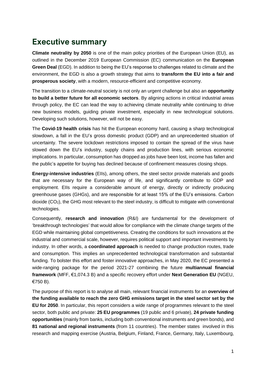## **Executive summary**

**Climate neutrality by 2050** is one of the main policy priorities of the European Union (EU), as outlined in the December 2019 European Commission (EC) communication on the **European Green Deal** (EGD). In addition to being the EU's response to challenges related to climate and the environment, the EGD is also a growth strategy that aims to **transform the EU into a fair and prosperous society**, with a modern, resource-efficient and competitive economy.

The transition to a climate-neutral society is not only an urgent challenge but also an **opportunity to build a better future for all economic sectors**. By aligning actions in critical industrial areas through policy, the EC can lead the way to achieving climate neutrality while continuing to drive new business models, guiding private investment, especially in new technological solutions. Developing such solutions, however, will not be easy.

The **Covid-19 health crisis** has hit the European economy hard, causing a sharp technological slowdown, a fall in the EU's gross domestic product (GDP) and an unprecedented situation of uncertainty. The severe lockdown restrictions imposed to contain the spread of the virus have slowed down the EU's industry, supply chains and production lines, with serious economic implications. In particular, consumption has dropped as jobs have been lost, income has fallen and the public's appetite for buying has declined because of confinement measures closing shops.

**Energy-intensive industries** (EIIs), among others, the steel sector provide materials and goods that are necessary for the European way of life, and significantly contribute to GDP and employment. EIIs require a considerable amount of energy, directly or indirectly producing greenhouse gases (GHGs), and are responsible for at least 15% of the EU's emissions. Carbon dioxide  $(CO<sub>2</sub>)$ , the GHG most relevant to the steel industry, is difficult to mitigate with conventional technologies.

Consequently, **research and innovation** (R&I) are fundamental for the development of 'breakthrough technologies' that would allow for compliance with the climate change targets of the EGD while maintaining global competitiveness. Creating the conditions for such innovations at the industrial and commercial scale, however, requires political support and important investments by industry. In other words, a **coordinated approach** is needed to change production routes, trade and consumption. This implies an unprecedented technological transformation and substantial funding. To bolster this effort and foster innovative approaches, in May 2020, the EC presented a wide-ranging package for the period 2021-27 combining the future **multiannual financial framework** (MFF, €1,074.3 B) and a specific recovery effort under **Next Generation EU** (NGEU, €750 B).

The purpose of this report is to analyse all main, relevant financial instruments for an **overview of the funding available to reach the zero GHG emissions target in the steel sector set by the EU for 2050**. In particular, this report considers a wide range of programmes relevant to the steel sector, both public and private: **25 EU programmes** (19 public and 6 private), **24 private funding opportunities** (mainly from banks, including both conventional instruments and green bonds), and **81 national and regional instruments** (from 11 countries). The member states involved in this research and mapping exercise (Austria, Belgium, Finland, France, Germany, Italy, Luxembourg,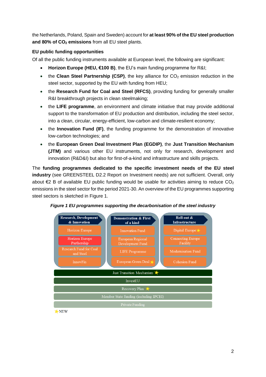the Netherlands, Poland, Spain and Sweden) account for **at least 90% of the EU steel production and 80% of CO<sup>2</sup> emissions** from all EU steel plants.

### **EU public funding opportunities**

Of all the public funding instruments available at European level, the following are significant:

- **Horizon Europe (HEU, €100 B)**, the EU's main funding programme for R&I;
- the **Clean Steel Partnership (CSP)**, the key alliance for CO<sub>2</sub> emission reduction in the steel sector, supported by the EU with funding from HEU;
- the **Research Fund for Coal and Steel (RFCS)**, providing funding for generally smaller R&I breakthrough projects in clean steelmaking;
- the **LIFE programme**, an environment and climate initiative that may provide additional support to the transformation of EU production and distribution, including the steel sector, into a clean, circular, energy-efficient, low-carbon and climate-resilient economy;
- the **Innovation Fund (IF)**, the funding programme for the demonstration of innovative low-carbon technologies; and
- the **European Green Deal Investment Plan (EGDIP)**, the **Just Transition Mechanism (JTM)** and various other EU instruments, not only for research, development and innovation (R&D&I) but also for first-of-a-kind and infrastructure and skills projects.

The **funding programmes dedicated to the specific investment needs of the EU steel industry** (see GREENSTEEL D2.2 Report on Investment needs) are not sufficient. Overall, only about  $\epsilon$ 2 B of available EU public funding would be usable for activities aiming to reduce  $CO<sub>2</sub>$ emissions in the steel sector for the period 2021-30. An overview of the EU programmes supporting steel sectors is sketched in Figure 1.



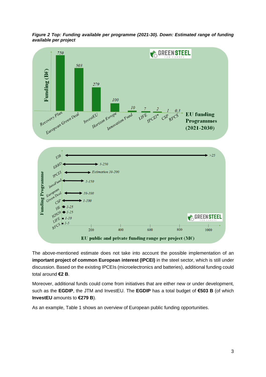



The above-mentioned estimate does not take into account the possible implementation of an **important project of common European interest (IPCEI)** in the steel sector, which is still under discussion. Based on the existing IPCEIs (microelectronics and batteries), additional funding could total around **€2 B**.

Moreover, additional funds could come from initiatives that are either new or under development, such as the **EGDIP**, the JTM and InvestEU. The **EGDIP** has a total budget of **€503 B** (of which **InvestEU** amounts to **€279 B**).

As an example, Table 1 shows an overview of European public funding opportunities.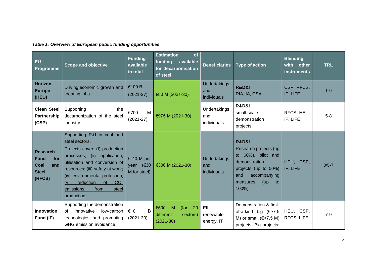| Table 1: Overview of European public funding opportunities |  |
|------------------------------------------------------------|--|
|------------------------------------------------------------|--|

| EU<br>Programme                                                                | <b>Scope and objective</b>                                                                                                                                                                                                                                                                                        | <b>Funding</b><br>available<br>in total     | <b>Estimation</b><br>of<br>funding<br>available<br>for decarbonisation<br>of steel | <b>Beneficiaries</b>               | Type of action                                                                                                                                                         | <b>Blending</b><br>with<br>other<br><b>instruments</b> | <b>TRL</b> |
|--------------------------------------------------------------------------------|-------------------------------------------------------------------------------------------------------------------------------------------------------------------------------------------------------------------------------------------------------------------------------------------------------------------|---------------------------------------------|------------------------------------------------------------------------------------|------------------------------------|------------------------------------------------------------------------------------------------------------------------------------------------------------------------|--------------------------------------------------------|------------|
| <b>Horizon</b><br><b>Europe</b><br>(HEU)                                       | Driving economic growth and<br>creating jobs                                                                                                                                                                                                                                                                      | €100 B<br>$(2021 - 27)$                     | €80 M (2021-30)                                                                    | Undertakings<br>and<br>individuals | <b>R&amp;D&amp;I</b><br>RIA, IA, CSA                                                                                                                                   | CSP, RFCS,<br>IF, LIFE                                 | $1 - 9$    |
| <b>Clean Steel</b><br>Partnership<br>(CSP)                                     | Supporting<br>the<br>decarbonization of the steel<br>industry                                                                                                                                                                                                                                                     | €700<br>M<br>$(2021-27)$                    | €975 M (2021-30)                                                                   | Undertakings<br>and<br>individuals | <b>R&amp;D&amp;I</b><br>small-scale<br>demonstration<br>projects                                                                                                       | RFCS, HEU,<br>IF, LIFE                                 | $5-8$      |
| <b>Research</b><br><b>Fund</b><br>for<br>and<br>Coal<br><b>Steel</b><br>(RFCS) | Supporting R&I in coal and<br>steel sectors.<br>Projects cover: (I) production<br>processes; (ii)<br>application,<br>utilisation and conversion of<br>resources; (iii) safety at work;<br>(iv) environmental protection;<br>reduction<br>of<br>CO <sub>2</sub><br>(v)<br>emissions<br>from<br>steel<br>production | $640$ M per<br>year $(€30)$<br>M for steel) | €300 M (2021-30)                                                                   | Undertakings<br>and<br>individuals | <b>R&amp;D&amp;I</b><br>Research projects (up<br>to 60%), pilot and<br>demonstration<br>projects (up to 50%)<br>accompanying<br>and<br>(up)<br>measures<br>to<br>100%) | HEU, CSP,<br>IF, LIFE                                  | $3/5 - 7$  |
| <b>Innovation</b><br>Fund (IF)                                                 | Supporting the demonstration<br>innovative<br>low-carbon<br>of<br>technologies and promoting<br>GHG emission avoidance                                                                                                                                                                                            | $\mathsf{B}$<br>€10<br>$(2021-30)$          | 20<br>€500<br>M<br>(for<br>different.<br>sectors)<br>$(2021-30)$                   | EII,<br>renewable<br>energy, IT    | Demonstration & first-<br>of-a-kind big $(\in$ >7.5<br>M) or small $(\in < 7.5$ M)<br>projects. Big projects:                                                          | HEU, CSP,<br>RFCS, LIFE                                | $7-9$      |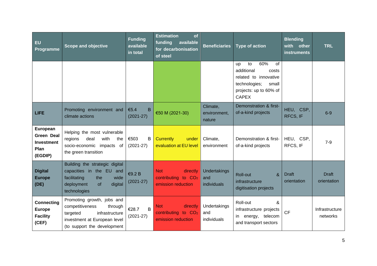| EU<br>Programme                                                       | Scope and objective                                                                                                                                   | <b>Funding</b><br>available<br>in total | <b>Estimation</b><br>of<br>funding<br>available<br>for decarbonisation<br>of steel | <b>Beneficiaries</b>               | <b>Type of action</b>                                                                                                                            | Blending<br>with<br>other<br><i>instruments</i> | <b>TRL</b>                  |
|-----------------------------------------------------------------------|-------------------------------------------------------------------------------------------------------------------------------------------------------|-----------------------------------------|------------------------------------------------------------------------------------|------------------------------------|--------------------------------------------------------------------------------------------------------------------------------------------------|-------------------------------------------------|-----------------------------|
|                                                                       |                                                                                                                                                       |                                         |                                                                                    |                                    | 60%<br>of<br>to<br><b>up</b><br>additional<br>costs<br>related to innovative<br>technologies;<br>small<br>projects: up to 60% of<br><b>CAPEX</b> |                                                 |                             |
| <b>LIFE</b>                                                           | Promoting environment and<br>climate actions                                                                                                          | €5.4<br>B<br>$(2021 - 27)$              | €50 M (2021-30)                                                                    | Climate,<br>environment.<br>nature | Demonstration & first-<br>of-a-kind projects                                                                                                     | HEU, CSP,<br>RFCS, IF                           | $6-9$                       |
| European<br><b>Green Deal</b><br><b>Investment</b><br>Plan<br>(EGDIP) | Helping the most vulnerable<br>deal<br>with<br>regions<br>the<br>socio-economic impacts<br>of<br>the green transition                                 | €503<br>B<br>$(2021-27)$                | <b>Currently</b><br>under<br>evaluation at EU level                                | Climate,<br>environment            | Demonstration & first-<br>of-a-kind projects                                                                                                     | HEU, CSP,<br>RFCS, IF                           | $7-9$                       |
| <b>Digital</b><br><b>Europe</b><br>(DE)                               | Building the strategic digital<br>capacities in the EU and<br>facilitating<br>wide<br>the<br>deployment<br>digital<br>of<br>technologies              | €9.2 B<br>$(2021 - 27)$                 | <b>Not</b><br>directly<br>contributing to CO <sub>2</sub><br>emission reduction    | Undertakings<br>and<br>individuals | Roll-out<br>&<br>infrastructure<br>digitisation projects                                                                                         | <b>Draft</b><br>orientation                     | <b>Draft</b><br>orientation |
| <b>Connecting</b><br><b>Europe</b><br><b>Facility</b><br>(CEF)        | Promoting growth, jobs and<br>competitiveness<br>through<br>targeted<br>infrastructure<br>investment at European level<br>(to support the development | €28.7<br>$\, {\sf B}$<br>$(2021 - 27)$  | directly<br><b>Not</b><br>contributing to CO <sub>2</sub><br>emission reduction    | Undertakings<br>and<br>individuals | Roll-out<br>&<br>infrastructure projects<br>in energy, telecom<br>and transport sectors                                                          | <b>CF</b>                                       | Infrastructure<br>networks  |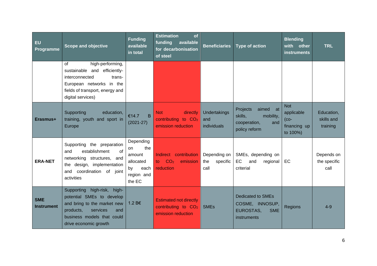| <b>EU</b><br>Programme          | <b>Scope and objective</b>                                                                                                                                                        | <b>Funding</b><br>available<br>in total                                             | <b>Estimation</b><br>of<br>funding<br>available<br>for decarbonisation<br>of steel | <b>Beneficiaries</b>                    | <b>Type of action</b>                                                                        | <b>Blending</b><br>with other<br>instruments                   | <b>TRL</b>                           |
|---------------------------------|-----------------------------------------------------------------------------------------------------------------------------------------------------------------------------------|-------------------------------------------------------------------------------------|------------------------------------------------------------------------------------|-----------------------------------------|----------------------------------------------------------------------------------------------|----------------------------------------------------------------|--------------------------------------|
|                                 | high-performing,<br>οf<br>sustainable and efficiently-<br>interconnected<br>trans-<br>European networks in the<br>fields of transport, energy and<br>digital services)            |                                                                                     |                                                                                    |                                         |                                                                                              |                                                                |                                      |
| Erasmus+                        | Supporting<br>education,<br>training, youth and sport in<br>Europe                                                                                                                | €14.7<br>B<br>$(2021 - 27)$                                                         | <b>Not</b><br>directly<br>contributing to CO <sub>2</sub><br>emission reduction    | Undertakings<br>and<br>individuals      | <b>Projects</b><br>aimed at<br>skills,<br>mobility,<br>cooperation,<br>and<br>policy reform  | <b>Not</b><br>applicable<br>$(co-$<br>financing up<br>to 100%) | Education,<br>skills and<br>training |
| <b>ERA-NET</b>                  | Supporting the preparation<br>establishment<br>of<br>and<br>networking structures, and<br>the design, implementation<br>and coordination of joint<br>activities                   | Depending<br>the<br>on<br>amount<br>allocated<br>by<br>each<br>region and<br>the EC | Indirect contribution<br>CO <sub>2</sub><br>emission<br>to l<br>reduction          | Depending on<br>specific<br>the<br>call | SMEs, depending on<br>EC<br>and<br>regional<br>criterial                                     | EC                                                             | Depends on<br>the specific<br>call   |
| <b>SME</b><br><b>Instrument</b> | Supporting high-risk,<br>high-<br>potential SMEs to develop<br>and bring to the market new<br>products,<br>services<br>and<br>business models that could<br>drive economic growth | 1.2 B€                                                                              | <b>Estimated not directly</b><br>contributing to $CO2$<br>emission reduction       | <b>SMEs</b>                             | <b>Dedicated to SMEs</b><br>COSME, INNOSUP,<br><b>EUROSTAS.</b><br><b>SME</b><br>instruments | <b>Regions</b>                                                 | $4 - 9$                              |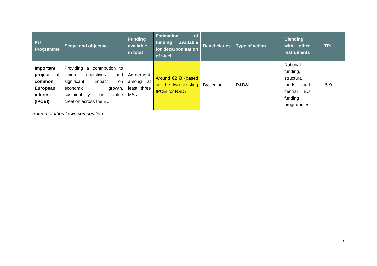| <b>EU</b><br><b>Programme</b>                                           | <b>Scope and objective</b>                                                                                                                                                           | Funding<br>available<br>in total            | <b>Estimation</b><br><b>of</b><br>available<br>funding<br>for decarbonisation<br>of steel | <b>Beneficiaries</b> | <b>Type of action</b> | <b>Blending</b><br>with<br>other<br>instruments                                              | <b>TRL</b> |
|-------------------------------------------------------------------------|--------------------------------------------------------------------------------------------------------------------------------------------------------------------------------------|---------------------------------------------|-------------------------------------------------------------------------------------------|----------------------|-----------------------|----------------------------------------------------------------------------------------------|------------|
| Important<br>project<br>of<br>common<br>European<br>interest<br>(IPCEI) | Providing a<br>contribution to<br>Union<br>objectives<br>and<br>significant<br>impact<br><b>on</b><br>growth,<br>economic<br>sustainability<br>value<br>or<br>creation across the EU | Agreement<br>among at<br>least three<br>MSs | Around $E2$ B (based<br>on the two existing<br><b>IPCEI</b> for R&D)                      | By sector            | R&D&I                 | National<br>funding,<br>structural<br>funds<br>and<br>EU<br>central<br>funding<br>programmes | $5-9$      |

*Source: authors' own composition.*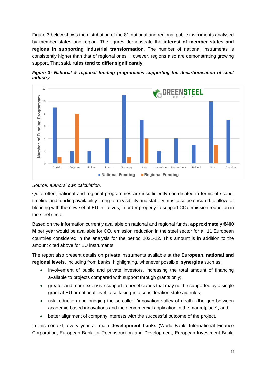[Figure 3](#page-8-0) below shows the distribution of the 81 national and regional public instruments analysed by member states and region. The figures demonstrate the **interest of member states and regions in supporting industrial transformation**. The number of national instruments is consistently higher than that of regional ones. However, regions also are demonstrating growing support. That said, **rules tend to differ significantly**.

<span id="page-8-0"></span>



#### *Source: authors' own calculation.*

Quite often, national and regional programmes are insufficiently coordinated in terms of scope, timeline and funding availability. Long-term visibility and stability must also be ensured to allow for blending with the new set of EU initiatives, in order properly to support  $CO<sub>2</sub>$  emission reduction in the steel sector.

Based on the information currently available on national and regional funds, **approximately €400 M** per year would be available for  $CO<sub>2</sub>$  emission reduction in the steel sector for all 11 European countries considered in the analysis for the period 2021-22. This amount is in addition to the amount cited above for EU instruments.

The report also present details on **private** instruments available at **the European, national and regional levels**, including from banks, highlighting, whenever possible, **synergies** such as:

- involvement of public and private investors, increasing the total amount of financing available to projects compared with support through grants only;
- greater and more extensive support to beneficiaries that may not be supported by a single grant at EU or national level, also taking into consideration state aid rules;
- risk reduction and bridging the so-called "innovation valley of death" (the gap between academic-based innovations and their commercial application in the marketplace); and
- better alignment of company interests with the successful outcome of the project.

In this context, every year all main **development banks** (World Bank, International Finance Corporation, European Bank for Reconstruction and Development, European Investment Bank,